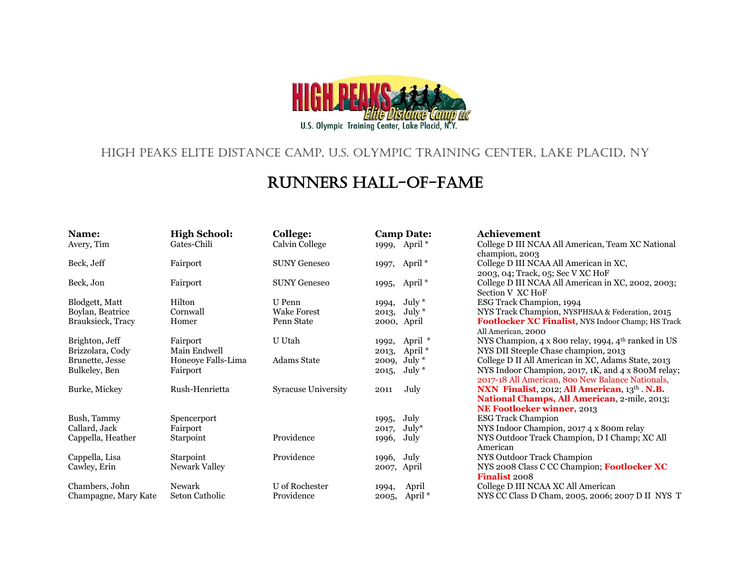

## High Peaks Elite Distance Camp, U.S. Olympic Training Center, Lake Placid, NY

## Runners Hall-of-Fame

| Name:                | <b>High School:</b> | <b>College:</b>            | <b>Camp Date:</b>           | Achievement                                                     |
|----------------------|---------------------|----------------------------|-----------------------------|-----------------------------------------------------------------|
| Avery, Tim           | Gates-Chili         | Calvin College             | 1999, April <sup>*</sup>    | College D III NCAA All American, Team XC National               |
|                      |                     |                            |                             | champion, 2003                                                  |
| Beck, Jeff           | Fairport            | <b>SUNY Geneseo</b>        | 1997, April <sup>*</sup>    | College D III NCAA All American in XC,                          |
|                      |                     |                            |                             | 2003, 04; Track, 05; Sec V XC HoF                               |
| Beck, Jon            | Fairport            | <b>SUNY Geneseo</b>        | 1995, April <sup>*</sup>    | College D III NCAA All American in XC, 2002, 2003;              |
|                      |                     |                            |                             | Section V XC HoF                                                |
| Blodgett, Matt       | Hilton              | U Penn                     | July $*$<br>1994,           | ESG Track Champion, 1994                                        |
| Boylan, Beatrice     | Cornwall            | <b>Wake Forest</b>         | July $*$<br>2013,           | NYS Track Champion, NYSPHSAA & Federation, 2015                 |
| Brauksieck, Tracy    | Homer               | Penn State                 | 2000, April                 | Footlocker XC Finalist, NYS Indoor Champ; HS Track              |
|                      |                     |                            |                             | All American, 2000                                              |
| Brighton, Jeff       | Fairport            | U Utah                     | April *<br>1992,            | NYS Champion, 4 x 800 relay, 1994, 4 <sup>th</sup> ranked in US |
| Brizzolara, Cody     | Main Endwell        |                            | April <sup>*</sup><br>2013, | NYS DII Steeple Chase champion, 2013                            |
| Brunette, Jesse      | Honeoye Falls-Lima  | <b>Adams State</b>         | July $*$<br>2009,           | College D II All American in XC, Adams State, 2013              |
| Bulkeley, Ben        | Fairport            |                            | July $*$<br>2015,           | NYS Indoor Champion, 2017, 1K, and 4 x 800M relay;              |
|                      |                     |                            |                             | 2017-18 All American, 800 New Balance Nationals,                |
| Burke, Mickey        | Rush-Henrietta      | <b>Syracuse University</b> | July<br>2011                | NXN Finalist, 2012; All American, 13th . N.B.                   |
|                      |                     |                            |                             | <b>National Champs, All American</b> , 2-mile, 2013;            |
|                      |                     |                            |                             | <b>NE Footlocker winner, 2013</b>                               |
| Bush, Tammy          | Spencerport         |                            | July<br>1995,               | <b>ESG Track Champion</b>                                       |
| Callard, Jack        | Fairport            |                            | $July*$<br>2017,            | NYS Indoor Champion, 2017 4 x 800m relay                        |
| Cappella, Heather    | Starpoint           | Providence                 | July<br>1996,               | NYS Outdoor Track Champion, D I Champ; XC All                   |
|                      |                     |                            |                             | American                                                        |
| Cappella, Lisa       | Starpoint           | Providence                 | July<br>1996,               | NYS Outdoor Track Champion                                      |
| Cawley, Erin         | Newark Valley       |                            | 2007, April                 | NYS 2008 Class C CC Champion; Footlocker XC                     |
|                      |                     |                            |                             | <b>Finalist</b> 2008                                            |
| Chambers, John       | Newark              | U of Rochester             | April<br>1994,              | College D III NCAA XC All American                              |
| Champagne, Mary Kate | Seton Catholic      | Providence                 | April <sup>*</sup><br>2005, | NYS CC Class D Cham, 2005, 2006; 2007 D II NYS T                |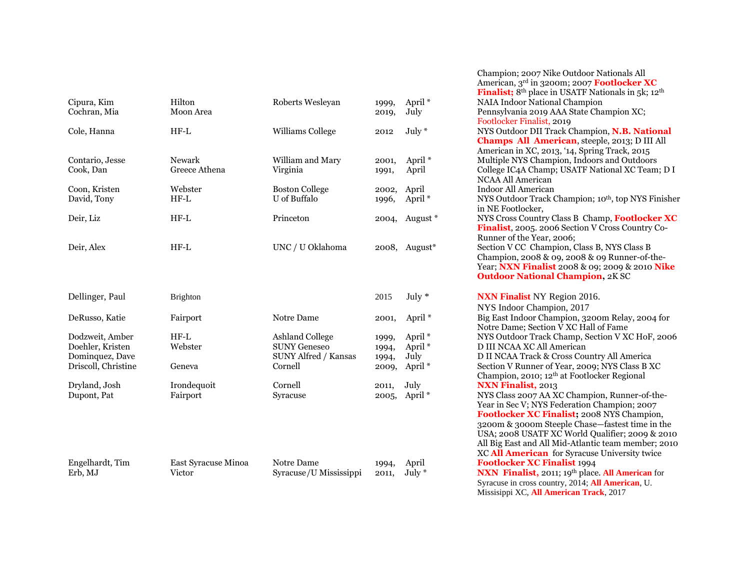| Cipura, Kim<br>Cochran, Mia                                                   | Hilton<br>Moon Area            | Roberts Wesleyan                                                                        | 1999,<br>2019,                   | April <sup>*</sup><br>July                                             |
|-------------------------------------------------------------------------------|--------------------------------|-----------------------------------------------------------------------------------------|----------------------------------|------------------------------------------------------------------------|
| Cole, Hanna                                                                   | $HF-L$                         | Williams College                                                                        | 2012                             | $July *$                                                               |
| Contario, Jesse<br>Cook, Dan                                                  | <b>Newark</b><br>Greece Athena | William and Mary<br>Virginia                                                            | 2001,<br>1991,                   | April <sup>*</sup><br>April                                            |
| Coon, Kristen<br>David, Tony                                                  | Webster<br>$HF-L$              | <b>Boston College</b><br>U of Buffalo                                                   | 2002,<br>1996,                   | April<br>April <sup>*</sup>                                            |
| Deir, Liz                                                                     | $HF-L$                         | Princeton                                                                               | 2004,                            | August                                                                 |
| Deir, Alex                                                                    | $HF-L$                         | UNC / U Oklahoma                                                                        | 2008,                            | August                                                                 |
|                                                                               |                                |                                                                                         |                                  |                                                                        |
| Dellinger, Paul                                                               | <b>Brighton</b>                |                                                                                         | 2015                             | July $*$                                                               |
| DeRusso, Katie                                                                | Fairport                       | Notre Dame                                                                              | 2001,                            | April <sup>*</sup>                                                     |
| Dodzweit, Amber<br>Doehler, Kristen<br>Dominquez, Dave<br>Driscoll, Christine | $HF-L$<br>Webster<br>Geneva    | <b>Ashland College</b><br><b>SUNY Geneseo</b><br><b>SUNY Alfred / Kansas</b><br>Cornell | 1999,<br>1994,<br>1994,<br>2009, | April <sup>*</sup><br>April <sup>*</sup><br>July<br>April <sup>*</sup> |
| Dryland, Josh<br>Dupont, Pat                                                  | Irondequoit<br>Fairport        | Cornell<br>Syracuse                                                                     | 2011,<br>2005,                   | July<br>April <sup>*</sup>                                             |
|                                                                               |                                |                                                                                         |                                  |                                                                        |
| Engelhardt, Tim<br>Erb. MJ                                                    | East Syracuse Minoa<br>Victor  | Notre Dame<br>Syracuse/U Mississippi                                                    | 1994,<br>2011.                   | April<br>July $*$                                                      |

Champion; 2007 Nike Outdoor Nationals All American, 3rd in 3200m; 2007 **Footlocker XC Finalist;** 8<sup>th</sup> place in USATF Nationals in 5k; 12<sup>th</sup> NAIA Indoor National Champion Pennsylvania 2019 AAA State Champion XC; Footlocker Finalist, 2019 NYS Outdoor DII Track Champion, N.B. National **Champs All American**, steeple, 2013; D III All American in XC, 2013, '14, Spring Track, 2015 Multiple NYS Champion, Indoors and Outdoors College IC4A Champ; USATF National XC Team; D I NCAA All American Indoor All American NYS Outdoor Track Champion; 10<sup>th</sup>, top NYS Finisher in NE Footlocker, Ext<sup>\*</sup> NYS Cross Country Class B Champ, **Footlocker XC Finalist**, 2005. 2006 Section V Cross Country Co-Runner of the Year, 2006;  $B^*$  Section V CC Champion, Class B, NYS Class B Champion, 2008 & 09, 2008 & 09 Runner-of-the-Year; **NXN Finalist** 2008 & 09; 2009 & 2010 **Nike Outdoor National Champion,** 2K SC **NXN Finalist** NY Region 2016. NYS Indoor Champion, 2017 Big East Indoor Champion, 3200m Relay, 2004 for Notre Dame; Section V XC Hall of Fame NYS Outdoor Track Champ, Section V XC HoF, 2006 D III NCAA XC All American D II NCAA Track & Cross Country All America Section V Runner of Year, 2009; NYS Class B XC Champion, 2010; 12th at Footlocker Regional **NXN Finalist, 2013** NYS Class 2007 AA XC Champion, Runner-of-the-Year in Sec V; NYS Federation Champion; 2007 **Footlocker XC Finalist;** 2008 NYS Champion, 3200m & 3000m Steeple Chase—fastest time in the USA; 2008 USATF XC World Qualifier; 2009 & 2010 All Big East and All Mid-Atlantic team member; 2010 XC **All American** for Syracuse University twice **Footlocker XC Finalist 1994** ippi 2011, July \* **NXN Finalist**, 2011; 19<sup>th</sup> place. **All American** for Syracuse in cross country, 2014; **All American**, U.

Missisippi XC, **All American Track**, 2017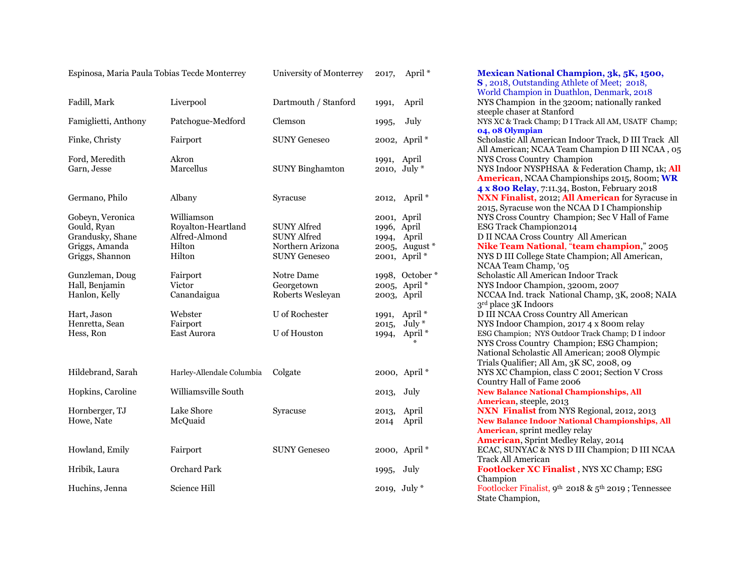| Fadill, Mark                                                                             | Liverpool                                                             | Dartmouth / Stanford                                                                | 1991,                               | April                                                     |
|------------------------------------------------------------------------------------------|-----------------------------------------------------------------------|-------------------------------------------------------------------------------------|-------------------------------------|-----------------------------------------------------------|
| Famiglietti, Anthony                                                                     | Patchogue-Medford                                                     | Clemson                                                                             | 1995,                               | July                                                      |
| Finke, Christy                                                                           | Fairport                                                              | <b>SUNY Geneseo</b>                                                                 |                                     | 2002, April *                                             |
| Ford, Meredith<br>Garn, Jesse                                                            | Akron<br>Marcellus                                                    | <b>SUNY Binghamton</b>                                                              | 1991,                               | April<br>2010, July *                                     |
| Germano, Philo                                                                           | Albany                                                                | Syracuse                                                                            | 2012,                               | April <sup>*</sup>                                        |
| Gobeyn, Veronica<br>Gould, Ryan<br>Grandusky, Shane<br>Griggs, Amanda<br>Griggs, Shannon | Williamson<br>Royalton-Heartland<br>Alfred-Almond<br>Hilton<br>Hilton | <b>SUNY Alfred</b><br><b>SUNY Alfred</b><br>Northern Arizona<br><b>SUNY Geneseo</b> | 2001, April<br>1996, April<br>1994, | April<br>2005, August<br>2001, April *                    |
| Gunzleman, Doug<br>Hall, Benjamin<br>Hanlon, Kelly                                       | Fairport<br>Victor<br>Canandaigua                                     | Notre Dame<br>Georgetown<br>Roberts Wesleyan                                        | 2003, April                         | 1998, Octobe<br>2005, April *                             |
| Hart, Jason<br>Henretta, Sean<br>Hess, Ron                                               | Webster<br>Fairport<br><b>East Aurora</b>                             | U of Rochester<br>U of Houston                                                      | 1991,<br>2015,<br>1994,             | April <sup>*</sup><br>July $*$<br>April <sup>*</sup><br>₩ |
| Hildebrand, Sarah                                                                        | Harley-Allendale Columbia                                             | Colgate                                                                             |                                     | 2000, April *                                             |
| Hopkins, Caroline                                                                        | Williamsville South                                                   |                                                                                     | 2013,                               | July                                                      |
| Hornberger, TJ<br>Howe, Nate                                                             | Lake Shore<br>McQuaid                                                 | Syracuse                                                                            | 2013,<br>2014                       | April<br>April                                            |
| Howland, Emily                                                                           | Fairport                                                              | <b>SUNY Geneseo</b>                                                                 |                                     | 2000, April *                                             |
| Hribik, Laura                                                                            | <b>Orchard Park</b>                                                   |                                                                                     | 1995,                               | July                                                      |
| Huchins, Jenna                                                                           | Science Hill                                                          |                                                                                     |                                     | 2019, July $*$                                            |

Espinosa, Maria Paula Tobias Tecde Monterrey University of Monterrey 2017, April \* **Mexican National Champion, 3k, 5K, 1500, S** , 2018, Outstanding Athlete of Meet; 2018, World Champion in Duathlon, Denmark, 2018 NYS Champion in the 3200m; nationally ranked steeple chaser at Stanford NYS XC & Track Champ; D I Track All AM, USATF Champ; **04, 08 Olympian** Scholastic All American Indoor Track, D III Track All All American; NCAA Team Champion D III NCAA , 05 NYS Cross Country Champion NYS Indoor NYSPHSAA & Federation Champ, 1k; All **American**, NCAA Championships 2015, 800m; **WR 4 x 800 Relay**, 7:11.34, Boston, February 2018 NXN Finalist, 2012; All American for Syracuse in 2015, Syracuse won the NCAA D I Championship NYS Cross Country Champion; Sec V Hall of Fame ESG Track Champion2014 B II NCAA Cross Country All American **Nike Team National, "team champion," 2005** NYS D III College State Champion; All American, NCAA Team Champ, '05 er \* Scholastic All American Indoor Track NYS Indoor Champion, 3200m, 2007 NCCAA Ind. track National Champ, 3K, 2008; NAIA 3 rd place 3K Indoors D III NCAA Cross Country All American NYS Indoor Champion, 2017 4 x 800m relay ESG Champion; NYS Outdoor Track Champ; D I indoor NYS Cross Country Champion; ESG Champion; National Scholastic All American; 2008 Olympic Trials Qualifier; All Am, 3K SC, 2008, 09 HYS XC Champion, class C 2001; Section V Cross Country Hall of Fame 2006 **New Balance National Championships, All American**, steeple, 2013 **NXN Finalist** from NYS Regional, 2012, 2013 **New Balance Indoor National Championships, All American**, sprint medley relay **American**, Sprint Medley Relay, 2014 ECAC, SUNYAC & NYS D III Champion; D III NCAA Track All American Footlocker XC Finalist, NYS XC Champ; ESG Champion Footlocker Finalist, 9<sup>th</sup> 2018 & 5<sup>th</sup> 2019 ; Tennessee State Champion,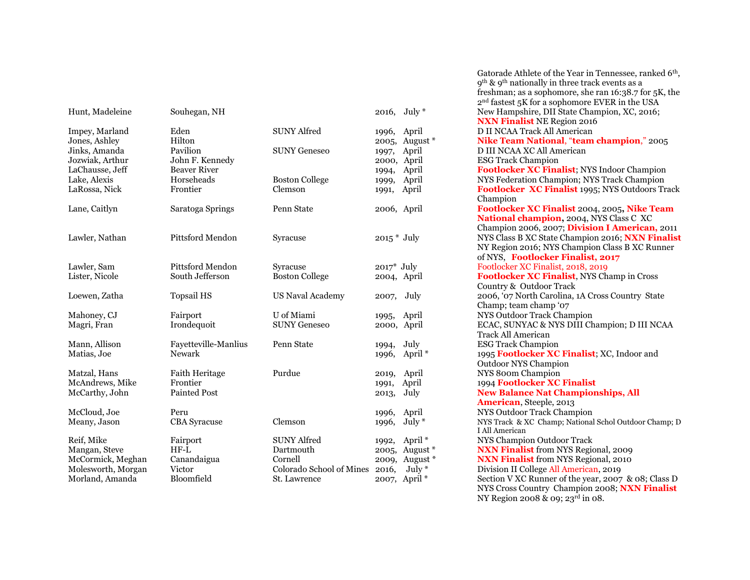| Hunt, Madeleine                                                                                                         | Souhegan, NH                                                                                   |                                                                                        | 2016, July $*$                                                                                                    |
|-------------------------------------------------------------------------------------------------------------------------|------------------------------------------------------------------------------------------------|----------------------------------------------------------------------------------------|-------------------------------------------------------------------------------------------------------------------|
| Impey, Marland<br>Jones, Ashley<br>Jinks, Amanda<br>Jozwiak, Arthur<br>LaChausse, Jeff<br>Lake, Alexis<br>LaRossa, Nick | Eden<br>Hilton<br>Pavilion<br>John F. Kennedy<br><b>Beaver River</b><br>Horseheads<br>Frontier | <b>SUNY Alfred</b><br><b>SUNY Geneseo</b><br><b>Boston College</b><br>Clemson          | 1996, April<br>2005, August *<br>1997, April<br>2000, April<br>April<br>1994,<br>April<br>1999,<br>April<br>1991, |
| Lane, Caitlyn                                                                                                           | Saratoga Springs                                                                               | Penn State                                                                             | 2006, April                                                                                                       |
| Lawler, Nathan                                                                                                          | Pittsford Mendon                                                                               | Syracuse                                                                               | $2015 * July$                                                                                                     |
| Lawler, Sam<br>Lister, Nicole                                                                                           | Pittsford Mendon<br>South Jefferson                                                            | Syracuse<br><b>Boston College</b>                                                      | $2017^*$ July<br>2004, April                                                                                      |
| Loewen, Zatha                                                                                                           | <b>Topsail HS</b>                                                                              | <b>US Naval Academy</b>                                                                | 2007, July                                                                                                        |
| Mahoney, CJ<br>Magri, Fran                                                                                              | Fairport<br>Irondequoit                                                                        | U of Miami<br><b>SUNY Geneseo</b>                                                      | 1995, April<br>2000, April                                                                                        |
| Mann, Allison<br>Matias, Joe                                                                                            | Fayetteville-Manlius<br>Newark                                                                 | Penn State                                                                             | July<br>1994,<br>April <sup>*</sup><br>1996,                                                                      |
| Matzal, Hans<br>McAndrews, Mike<br>McCarthy, John                                                                       | Faith Heritage<br>Frontier<br>Painted Post                                                     | Purdue                                                                                 | April<br>2019,<br>April<br>1991,<br>July<br>2013,                                                                 |
| McCloud, Joe<br>Meany, Jason                                                                                            | Peru<br><b>CBA</b> Syracuse                                                                    | Clemson                                                                                | April<br>1996,<br>July $*$<br>1996,                                                                               |
| Reif, Mike<br>Mangan, Steve<br>McCormick, Meghan<br>Molesworth, Morgan<br>Morland, Amanda                               | Fairport<br>$HF-L$<br>Canandaigua<br>Victor<br>Bloomfield                                      | <b>SUNY Alfred</b><br>Dartmouth<br>Cornell<br>Colorado School of Mines<br>St. Lawrence | April <sup>*</sup><br>1992,<br>2005, August *<br>2009, August *<br>$July *$<br>2016,<br>2007, April *             |

Gatorade Athlete of the Year in Tennessee, ranked 6<sup>th</sup>, 9th & 9th nationally in three track events as a freshman; as a sophomore, she ran 16:38.7 for 5K, the 2 nd fastest 5K for a sophomore EVER in the USA New Hampshire, DII State Champion, XC, 2016; **NXN Finalist** NE Region 2016 D II NCAA Track All American **Nike Team National, "team champion," 2005** D III NCAA XC All American ESG Track Champion Footlocker XC Finalist; NYS Indoor Champion NYS Federation Champion; NYS Track Champion Footlocker XC Finalist 1995; NYS Outdoors Track Champion Lane, Caitlyn Saratoga Springs Penn State 2006, April **Footlocker XC Finalist** 2004, 2005**, Nike Team National champion,** 2004, NYS Class C XC Champion 2006, 2007; **Division I American,** 2011 NYS Class B XC State Champion 2016; **NXN Finalist** NY Region 2016; NYS Champion Class B XC Runner of NYS, **Footlocker Finalist, 2017** Footlocker XC Finalist, 2018, 2019 Footlocker XC Finalist, NYS Champ in Cross Country & Outdoor Track 2006, '07 North Carolina, 1A Cross Country State Champ; team champ '07 NYS Outdoor Track Champion ECAC, SUNYAC & NYS DIII Champion; D III NCAA Track All American ESG Track Champion 1995 **Footlocker XC Finalist**; XC, Indoor and Outdoor NYS Champion NYS 800m Champion 1994 **Footlocker XC Finalist New Balance Nat Championships, All American**, Steeple, 2013 NYS Outdoor Track Champion NYS Track & XC Champ; National Schol Outdoor Champ; D I All American **NYS Champion Outdoor Track NXN Finalist** from NYS Regional, 2009 **NXN Finalist** from NYS Regional, 2010 Division II College All American, 2019 Section V XC Runner of the year, 2007 & 08; Class D NYS Cross Country Champion 2008; **NXN Finalist**  NY Region 2008 & 09; 23<sup>rd</sup> in 08.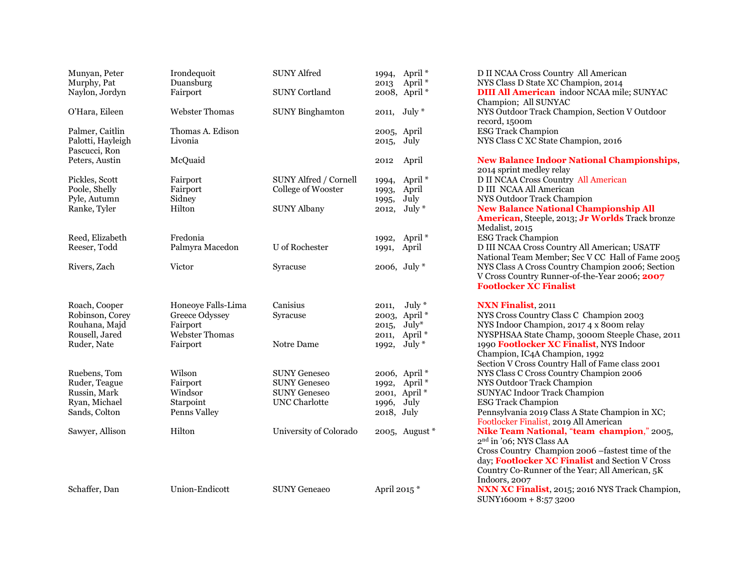| Munyan, Peter<br>Murphy, Pat<br>Naylon, Jordyn        | Irondequoit<br>Duansburg<br>Fairport | <b>SUNY Alfred</b><br><b>SUNY Cortland</b>         | 2013                    | 1994, April *<br>April <sup>*</sup><br>2008, April * | D II NCAA Cross Country All American<br>NYS Class D State XC Champion, 2014<br><b>DIII All American</b> indoor NCAA mile; SUNYAC                                        |
|-------------------------------------------------------|--------------------------------------|----------------------------------------------------|-------------------------|------------------------------------------------------|-------------------------------------------------------------------------------------------------------------------------------------------------------------------------|
| O'Hara, Eileen                                        | <b>Webster Thomas</b>                | <b>SUNY Binghamton</b>                             |                         | 2011, July *                                         | Champion; All SUNYAC<br>NYS Outdoor Track Champion, Section V Outdoor<br>record, 1500m                                                                                  |
| Palmer, Caitlin<br>Palotti, Hayleigh<br>Pascucci, Ron | Thomas A. Edison<br>Livonia          |                                                    | 2005, April<br>2015,    | July                                                 | <b>ESG Track Champion</b><br>NYS Class C XC State Champion, 2016                                                                                                        |
| Peters, Austin                                        | McQuaid                              |                                                    | 2012                    | April                                                | <b>New Balance Indoor National Championships,</b><br>2014 sprint medley relay                                                                                           |
| Pickles, Scott<br>Poole, Shelly                       | Fairport<br>Fairport                 | <b>SUNY Alfred / Cornell</b><br>College of Wooster | 1993,                   | 1994, April <sup>*</sup><br>April                    | D II NCAA Cross Country All American<br>D III NCAA All American                                                                                                         |
| Pyle, Autumn<br>Ranke, Tyler                          | Sidney<br>Hilton                     | <b>SUNY Albany</b>                                 | 1995,<br>2012,          | July<br>July $*$                                     | NYS Outdoor Track Champion<br><b>New Balance National Championship All</b><br>American, Steeple, 2013; Jr Worlds Track bronze<br>Medalist, 2015                         |
| Reed, Elizabeth                                       | Fredonia                             |                                                    |                         | 1992, April <sup>*</sup>                             | <b>ESG Track Champion</b>                                                                                                                                               |
| Reeser, Todd                                          | Palmyra Macedon                      | U of Rochester                                     | 1991,                   | April                                                | D III NCAA Cross Country All American; USATF<br>National Team Member; Sec V CC Hall of Fame 2005                                                                        |
| Rivers, Zach                                          | Victor                               | Syracuse                                           |                         | 2006, July $*$                                       | NYS Class A Cross Country Champion 2006; Section<br>V Cross Country Runner-of-the-Year 2006; 2007<br><b>Footlocker XC Finalist</b>                                      |
| Roach, Cooper                                         | Honeoye Falls-Lima                   | Canisius                                           | 2011,                   | July $*$                                             | <b>NXN Finalist, 2011</b>                                                                                                                                               |
| Robinson, Corey                                       | Greece Odyssey                       | Syracuse                                           |                         | 2003, April *                                        | NYS Cross Country Class C Champion 2003                                                                                                                                 |
| Rouhana, Majd<br>Rousell, Jared                       | Fairport<br><b>Webster Thomas</b>    |                                                    | 2015,<br>2011,          | $July*$<br>April <sup>*</sup>                        | NYS Indoor Champion, 2017 4 x 800m relay<br>NYSPHSAA State Champ, 3000m Steeple Chase, 2011                                                                             |
| Ruder, Nate                                           | Fairport                             | Notre Dame                                         | 1992,                   | July $*$                                             | 1990 Footlocker XC Finalist, NYS Indoor<br>Champion, IC4A Champion, 1992<br>Section V Cross Country Hall of Fame class 2001                                             |
| Ruebens, Tom                                          | Wilson                               | <b>SUNY Geneseo</b>                                |                         | 2006, April *                                        | NYS Class C Cross Country Champion 2006                                                                                                                                 |
| Ruder, Teague                                         | Fairport                             | <b>SUNY Geneseo</b>                                |                         | 1992, April *                                        | NYS Outdoor Track Champion                                                                                                                                              |
| Russin, Mark                                          | Windsor                              | <b>SUNY Geneseo</b>                                |                         | 2001, April *                                        | <b>SUNYAC Indoor Track Champion</b>                                                                                                                                     |
| Ryan, Michael                                         | Starpoint                            | <b>UNC</b> Charlotte                               | 1996, July              |                                                      | <b>ESG Track Champion</b>                                                                                                                                               |
| Sands, Colton                                         | Penns Valley                         |                                                    | 2018, July              |                                                      | Pennsylvania 2019 Class A State Champion in XC;<br>Footlocker Finalist, 2019 All American                                                                               |
| Sawyer, Allison                                       | Hilton                               | University of Colorado                             |                         | 2005, August $*$                                     | Nike Team National, "team champion," 2005,<br>2 <sup>nd</sup> in '06; NYS Class AA                                                                                      |
|                                                       |                                      |                                                    |                         |                                                      | Cross Country Champion 2006 -fastest time of the<br>day; Footlocker XC Finalist and Section V Cross<br>Country Co-Runner of the Year; All American, 5K<br>Indoors, 2007 |
| Schaffer, Dan                                         | Union-Endicott                       | <b>SUNY Geneaeo</b>                                | April 2015 <sup>*</sup> |                                                      | NXN XC Finalist, 2015; 2016 NYS Track Champion,<br>SUNY1600m + 8:57 3200                                                                                                |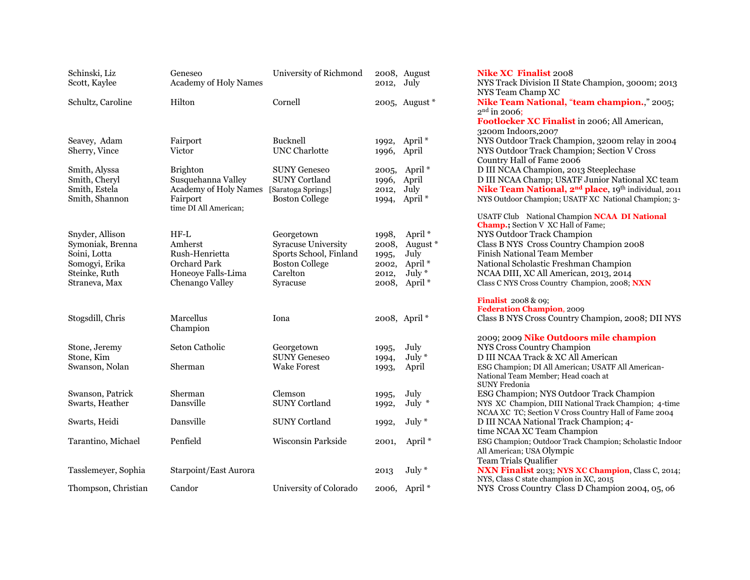| Schinski, Liz<br>Scott, Kaylee                                                                          | Geneseo<br>Academy of Holy Names                                                                    | University of Richmond                                                                                       | 2012,                                              | 2008, August<br>July                                                                         |
|---------------------------------------------------------------------------------------------------------|-----------------------------------------------------------------------------------------------------|--------------------------------------------------------------------------------------------------------------|----------------------------------------------------|----------------------------------------------------------------------------------------------|
| Schultz, Caroline                                                                                       | Hilton                                                                                              | Cornell                                                                                                      |                                                    | 2005, August $*$                                                                             |
|                                                                                                         |                                                                                                     |                                                                                                              |                                                    |                                                                                              |
| Seavey, Adam<br>Sherry, Vince                                                                           | Fairport<br>Victor                                                                                  | Bucknell<br><b>UNC Charlotte</b>                                                                             | 1992,<br>1996,                                     | April <sup>*</sup><br>April                                                                  |
| Smith, Alyssa<br>Smith, Cheryl<br>Smith, Estela<br>Smith, Shannon                                       | <b>Brighton</b><br>Susquehanna Valley<br>Academy of Holy Names<br>Fairport<br>time DI All American; | <b>SUNY Geneseo</b><br><b>SUNY Cortland</b><br>[Saratoga Springs]<br><b>Boston College</b>                   | 2005,<br>1996,<br>2012,<br>1994,                   | April <sup>*</sup><br>April<br>July<br>April <sup>*</sup>                                    |
| Snyder, Allison<br>Symoniak, Brenna<br>Soini, Lotta<br>Somogyi, Erika<br>Steinke, Ruth<br>Straneva, Max | HF-L<br>Amherst<br>Rush-Henrietta<br>Orchard Park<br>Honeoye Falls-Lima<br>Chenango Valley          | Georgetown<br>Syracuse University<br>Sports School, Finland<br><b>Boston College</b><br>Carelton<br>Syracuse | 1998,<br>2008,<br>1995,<br>2002,<br>2012,<br>2008, | April <sup>*</sup><br>August *<br>July<br>April <sup>*</sup><br>July *<br>April <sup>*</sup> |
| Stogsdill, Chris                                                                                        | Marcellus<br>Champion                                                                               | Iona                                                                                                         |                                                    | 2008, April <sup>*</sup>                                                                     |
| Stone, Jeremy<br>Stone, Kim<br>Swanson, Nolan                                                           | Seton Catholic<br>Sherman                                                                           | Georgetown<br><b>SUNY Geneseo</b><br><b>Wake Forest</b>                                                      | 1995,<br>1994,<br>1993,                            | July<br>July $*$<br>April                                                                    |
| Swanson, Patrick<br>Swarts, Heather                                                                     | Sherman<br>Dansville                                                                                | Clemson<br><b>SUNY Cortland</b>                                                                              | 1995,<br>1992,                                     | July<br>July $*$                                                                             |
| Swarts, Heidi                                                                                           | Dansville                                                                                           | <b>SUNY Cortland</b>                                                                                         | 1992,                                              | July $*$                                                                                     |
| Tarantino, Michael                                                                                      | Penfield                                                                                            | Wisconsin Parkside                                                                                           | 2001,                                              | April <sup>*</sup>                                                                           |
| Tasslemeyer, Sophia                                                                                     | Starpoint/East Aurora                                                                               |                                                                                                              | 2013                                               | July $*$                                                                                     |
| Thompson, Christian                                                                                     | Candor                                                                                              | University of Colorado                                                                                       | 2006,                                              | April <sup>*</sup>                                                                           |

Schinski, Liz Geneseo University of Richmond 2008, August **Nike XC Finalist** 2008 NYS Track Division II State Champion, 3000m; 2013 NYS Team Champ XC **Nike Team National, "team champion.," 2005;** 2 nd in 2006; **Footlocker XC Finalist** in 2006; All American, 3200m Indoors,2007 NYS Outdoor Track Champion, 3200m relay in 2004 NYS Outdoor Track Champion; Section V Cross Country Hall of Fame 2006 D III NCAA Champion, 2013 Steeplechase D III NCAA Champ; USATF Junior National XC team Nike Team National, 2<sup>nd</sup> place, 19<sup>th</sup> individual, 2011 NYS Outdoor Champion: USATF XC National Champion; 3-USATF Club National Champion **NCAA DI National Champ.;** Section V XC Hall of Fame; NYS Outdoor Track Champion Class B NYS Cross Country Champion 2008 Finish National Team Member National Scholastic Freshman Champion NCAA DIII, XC All American, 2013, 2014 Class C NYS Cross Country Champion, 2008; NXN **Finalist** 2008 & 09; **Federation Champion**, 2009 Class B NYS Cross Country Champion, 2008; DII NYS 2009; 2009 **Nike Outdoors mile champion** NYS Cross Country Champion D III NCAA Track & XC All American ESG Champion; DI All American; USATF All American-National Team Member; Head coach at SUNY Fredonia ESG Champion; NYS Outdoor Track Champion NYS XC Champion, DIII National Track Champion; 4-time NCAA XC TC; Section V Cross Country Hall of Fame 2004 D III NCAA National Track Champion; 4time NCAA XC Team Champion ESG Champion; Outdoor Track Champion; Scholastic Indoor All American; USA Olympic Team Trials Qualifier **NXN Finalist 2013; NYS XC Champion, Class C, 2014;** NYS, Class C state champion in XC, 2015 NYS Cross Country Class D Champion 2004, 05, 06